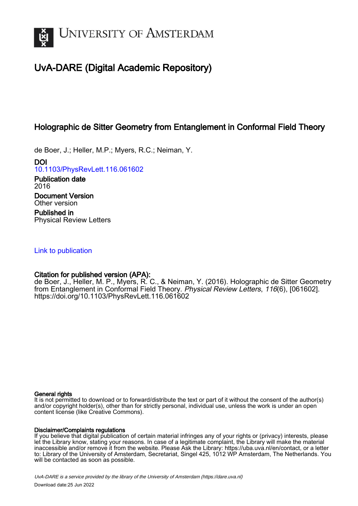

# UvA-DARE (Digital Academic Repository)

## Holographic de Sitter Geometry from Entanglement in Conformal Field Theory

de Boer, J.; Heller, M.P.; Myers, R.C.; Neiman, Y.

DOI [10.1103/PhysRevLett.116.061602](https://doi.org/10.1103/PhysRevLett.116.061602)

Publication date 2016 Document Version Other version

Published in Physical Review Letters

## [Link to publication](https://dare.uva.nl/personal/pure/en/publications/holographic-de-sitter-geometry-from-entanglement-in-conformal-field-theory(ac113c2d-f75d-40d0-b63e-5ea649d0c39a).html)

## Citation for published version (APA):

de Boer, J., Heller, M. P., Myers, R. C., & Neiman, Y. (2016). Holographic de Sitter Geometry from Entanglement in Conformal Field Theory. Physical Review Letters, 116(6), [061602]. <https://doi.org/10.1103/PhysRevLett.116.061602>

#### General rights

It is not permitted to download or to forward/distribute the text or part of it without the consent of the author(s) and/or copyright holder(s), other than for strictly personal, individual use, unless the work is under an open content license (like Creative Commons).

#### Disclaimer/Complaints regulations

If you believe that digital publication of certain material infringes any of your rights or (privacy) interests, please let the Library know, stating your reasons. In case of a legitimate complaint, the Library will make the material inaccessible and/or remove it from the website. Please Ask the Library: https://uba.uva.nl/en/contact, or a letter to: Library of the University of Amsterdam, Secretariat, Singel 425, 1012 WP Amsterdam, The Netherlands. You will be contacted as soon as possible.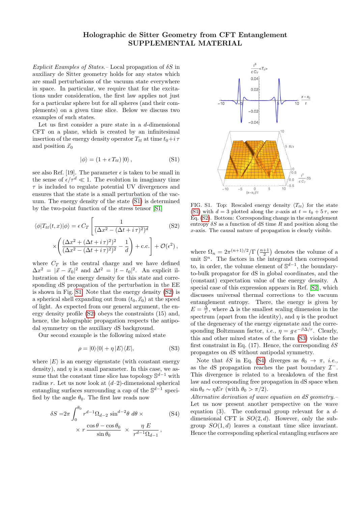### Holographic de Sitter Geometry from CFT Entanglement SUPPLEMENTAL MATERIAL

Explicit Examples of States. – Local propagation of  $\delta S$  in auxiliary de Sitter geometry holds for any states which are small perturbations of the vacuum state everywhere in space. In particular, we require that for the excitations under consideration, the first law applies not just for a particular sphere but for all spheres (and their complements) on a given time slice. Below we discuss two examples of such states.

Let us first consider a pure state in a  $d$ -dimensional CFT on a plane, which is created by an infinitesimal insertion of the energy density operator  $T_{tt}$  at time  $t_0+i\tau$ and position  $\vec{x}_0$ 

<span id="page-1-0"></span>
$$
|\phi\rangle = (1 + \epsilon T_{tt}) |0\rangle, \qquad (S1)
$$

see also Ref. [19]. The parameter  $\epsilon$  is taken to be small in the sense of  $\epsilon/\tau^d \ll 1$ . The evolution in imaginary time  $\tau$  is included to regulate potential UV divergences and ensures that the state is a small perturbation of the vacuum. The energy density of the state [\(S1\)](#page-1-0) is determined by the two-point function of the stress tensor [\[S1\]](#page-2-0)

<span id="page-1-2"></span>
$$
\langle \phi | T_{tt}(t, x) | \phi \rangle = \epsilon C_T \left[ \frac{1}{(\Delta x^2 - (\Delta t + i \tau)^2)^d} \right]
$$
(S2)  

$$
\times \left( \frac{(\Delta x^2 + (\Delta t + i \tau)^2)^2}{(\Delta x^2 - (\Delta t + i \tau)^2)^2} - \frac{1}{d} \right) + \text{c.c.} \right] + \mathcal{O}(\epsilon^2),
$$

where  $C_T$  is the central charge and we have defined  $\Delta x^2 = |\vec{x} - \vec{x}_0|^2$  and  $\Delta t^2 = |t - t_0|^2$ . An explicit illustration of the energy density for this state and corresponding dS propagation of the perturbation in the EE is shown in Fig. [S1.](#page-1-1) Note that the energy density [\(S2\)](#page-1-2) is a spherical shell expanding out from  $(t_0, \vec{x}_0)$  at the speed of light. As expected from our general argument, the energy density profile [\(S2\)](#page-1-2) obeys the constraints (15) and, hence, the holographic propagation respects the antipodal symmetry on the auxiliary dS background.

Our second example is the following mixed state

<span id="page-1-3"></span>
$$
\rho = |0\rangle\langle 0| + \eta |E\rangle\langle E|,\tag{S3}
$$

where  $|E\rangle$  is an energy eigenstate (with constant energy density), and  $\eta$  is a small parameter. In this case, we assume that the constant time slice has topology  $\mathbb{S}^{d-1}$  with radius r. Let us now look at  $(d-2)$ -dimensional spherical entangling surfaces surrounding a cap of the  $\mathbb{S}^{d-1}$  specified by the angle  $\theta_0$ . The first law reads now

<span id="page-1-4"></span>
$$
\delta S = 2\pi \int_0^{\theta_0} r^{d-1} \Omega_{d-2} \sin^{d-2}\theta \, d\theta \times
$$
\n
$$
\times r \frac{\cos \theta - \cos \theta_0}{\sin \theta_0} \times \frac{\eta E}{r^{d-1} \Omega_{d-1}},
$$
\n(S4)



<span id="page-1-1"></span>FIG. S1. Top: Rescaled energy density  $\langle T_{tt} \rangle$  for the state [\(S1\)](#page-1-0) with  $d = 3$  plotted along the x-axis at  $t = t_0 + 5\tau$ , see Eq. [\(S2\)](#page-1-2). Bottom: Corresponding change in the entanglement entropy  $\delta S$  as a function of dS time R and position along the x-axis. The causal nature of propagation is clearly visible.

where  $\Omega_n = 2\pi^{(n+1)/2}/\Gamma\left(\frac{n+1}{2}\right)$  denotes the volume of a unit  $\mathbb{S}^n$ . The factors in the integrand then correspond to, in order, the volume element of  $\mathbb{S}^{d-1}$ , the boundaryto-bulk propagator for dS in global coordinates, and the (constant) expectation value of the energy density. A special case of this expression appears in Ref. [\[S2\]](#page-2-1), which discusses universal thermal corrections to the vacuum entanglement entropy. There, the energy is given by  $E = \frac{\Delta}{r}$ , where  $\Delta$  is the smallest scaling dimension in the spectrum (apart from the identity), and  $\eta$  is the product of the degeneracy of the energy eigenstate and the corresponding Boltzmann factor, *i.e.*,  $\eta = q e^{-\beta \Delta/r}$ . Clearly, this and other mixed states of the form [\(S3\)](#page-1-3) violate the first constraint in Eq. (17). Hence, the corresponding  $\delta S$ propagates on dS without antipodal symmetry.

Note that  $\delta S$  in Eq. [\(S4\)](#page-1-4) diverges as  $\theta_0 \to \pi$ , *i.e.*, as the dS propagation reaches the past boundary  $\mathcal{I}^-$ . This divergence is related to a breakdown of the first law and corresponding free propagation in dS space when  $\sin \theta_0 \sim \eta E r$  (with  $\theta_0 > \pi/2$ ).

Alternative derivation of wave equation on dS geometry.– Let us now present another perspective on the wave equation (3). The conformal group relevant for a  $d$ dimensional CFT is  $SO(2, d)$ . However, only the subgroup  $SO(1, d)$  leaves a constant time slice invariant. Hence the corresponding spherical entangling surfaces are